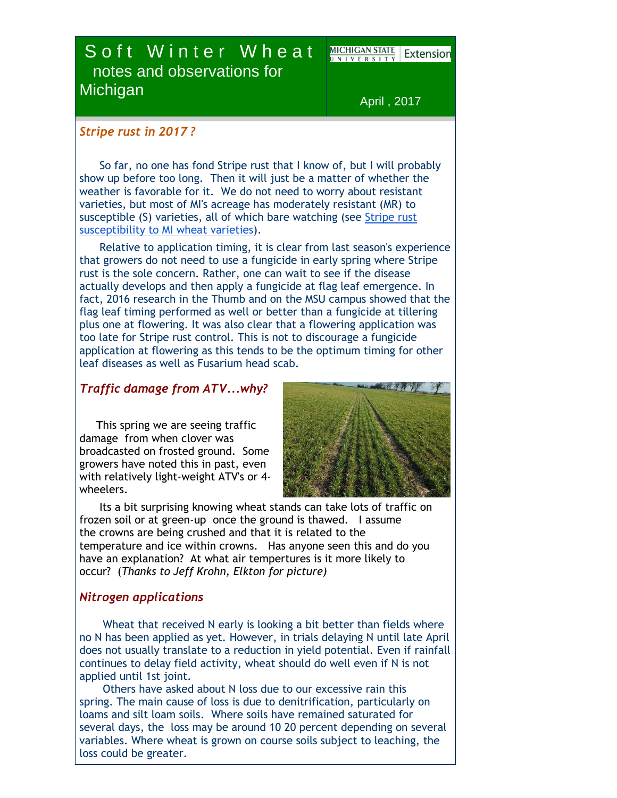# Soft Winter Wheat notes and observations for **Michigan**

**MICHIGAN STATE** Extensior

April , 2017

### *Stripe rust in 2017 ?*

 So far, no one has fond Stripe rust that I know of, but I will probably show up before too long. Then it will just be a matter of whether the weather is favorable for it. We do not need to worry about resistant varieties, but most of MI's acreage has moderately resistant (MR) to susceptible (S) varieties, all of which bare watching (see [Stripe rust](http://r20.rs6.net/tn.jsp?f=001r7eszPVThOZJhrT-Gb7R-YLPQL3-YnIyUvn5UyO89s7NN3s3OjrdPk2HTvb8i7WjOa_oztfsmFY-E4i3Rdge4PdhHFIEZ7a9ppCCzM9_FpcZnquJtKA2KMthXsBUxDE8CgIDCfEpYSk-w4svhaEYQQNS839t-3cRMeQGGb-2ah-wko1-sqxU3fX5ltQO6cerytUg5dLb9Hh3WhyUu6vr9cp3AbFZ4yFi&c=2hrBF2lmTbSXQ1R2k2mwlQkXtKscIu6slX9KH1_YZoS-fX_5aZTI6Q==&ch=K_ZFLEBnhcGf0EhUjRO1kT8xLYOT2hrgjXnm-WTRLKLHOKBpTJXkag==)  [susceptibility to MI wheat varieties\)](http://r20.rs6.net/tn.jsp?f=001r7eszPVThOZJhrT-Gb7R-YLPQL3-YnIyUvn5UyO89s7NN3s3OjrdPk2HTvb8i7WjOa_oztfsmFY-E4i3Rdge4PdhHFIEZ7a9ppCCzM9_FpcZnquJtKA2KMthXsBUxDE8CgIDCfEpYSk-w4svhaEYQQNS839t-3cRMeQGGb-2ah-wko1-sqxU3fX5ltQO6cerytUg5dLb9Hh3WhyUu6vr9cp3AbFZ4yFi&c=2hrBF2lmTbSXQ1R2k2mwlQkXtKscIu6slX9KH1_YZoS-fX_5aZTI6Q==&ch=K_ZFLEBnhcGf0EhUjRO1kT8xLYOT2hrgjXnm-WTRLKLHOKBpTJXkag==).

 Relative to application timing, it is clear from last season's experience that growers do not need to use a fungicide in early spring where Stripe rust is the sole concern. Rather, one can wait to see if the disease actually develops and then apply a fungicide at flag leaf emergence. In fact, 2016 research in the Thumb and on the MSU campus showed that the flag leaf timing performed as well or better than a fungicide at tillering plus one at flowering. It was also clear that a flowering application was too late for Stripe rust control. This is not to discourage a fungicide application at flowering as this tends to be the optimum timing for other leaf diseases as well as Fusarium head scab.

## *Traffic damage from ATV...why?*

 **T**his spring we are seeing traffic damage from when clover was broadcasted on frosted ground. Some growers have noted this in past, even with relatively light-weight ATV's or 4 wheelers.



 Its a bit surprising knowing wheat stands can take lots of traffic on frozen soil or at green-up once the ground is thawed. I assume the crowns are being crushed and that it is related to the temperature and ice within crowns. Has anyone seen this and do you have an explanation? At what air tempertures is it more likely to occur? (*Thanks to Jeff Krohn, Elkton for picture)*

### *Nitrogen applications*

 Wheat that received N early is looking a bit better than fields where no N has been applied as yet. However, in trials delaying N until late April does not usually translate to a reduction in yield potential. Even if rainfall continues to delay field activity, wheat should do well even if N is not applied until 1st joint.

 Others have asked about N loss due to our excessive rain this spring. The main cause of loss is due to denitrification, particularly on loams and silt loam soils. Where soils have remained saturated for several days, the loss may be around 10 20 percent depending on several variables. Where wheat is grown on course soils subject to leaching, the loss could be greater.